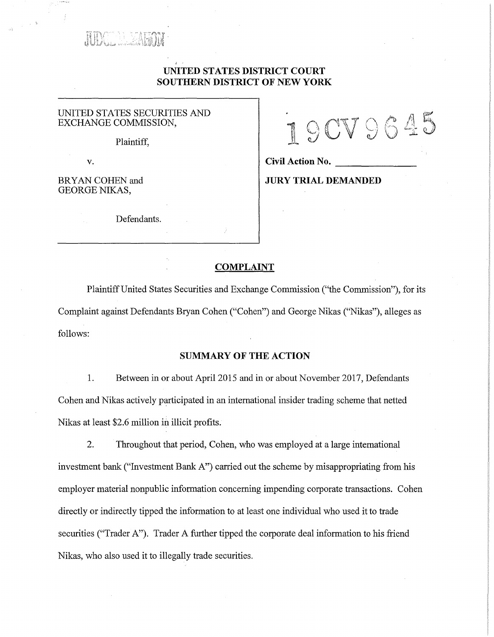

# **UNITED STATES DISTRICT COURT SOUTHERN DISTRICT OF NEW YORK**

### UNITED STATES SECURITIES AND EXCHANGE COMMISSION,

Plaintiff,

BRYAN COHEN and GEORGE NIKAS,

Defendants.

 $\mathbb{A}$ -------

v. **Civil Action No.** 

**JURY TRIAL DEMANDED** 

### **COMPLAINT**

Plaintiff United States Securities and Exchange Commission ("the Commission"), for its Complaint against Defendants Bryan Cohen ("Cohen") and George Nikas ("Nikas"), alleges as follows:

## **SUMMARY OF THE ACTION**

1. Between in or about April 2015 and in or about November 2017, Defendants Cohen and Nikas actively participated in an international insider trading scheme that netted Nikas at least \$2.6 million in illicit profits.

2. Throughout that period, Cohen, who was employed at a large international investment bank ("Investment Bank A") carried out the scheme by misappropriating from his employer material nonpublic information concerning impending corporate transactions. Cohen directly or indirectly tipped the information to at least one individual who used it to trade securities ("Trader A"). Trader A further tipped the corporate deal information to his friend Nikas, who also used it to illegally trade securities.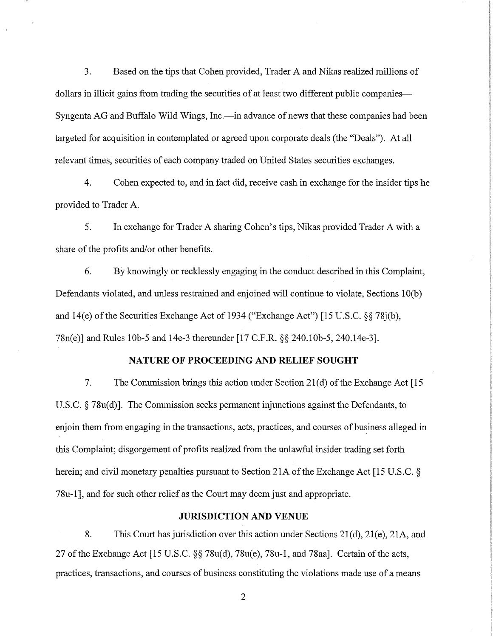3. Based on the tips that Cohen provided, Trader A and Nikas realized millions of dollars in illicit gains from trading the securities of at least two different public companies— Syngenta AG and Buffalo Wild Wings, Inc.—in advance of news that these companies had been targeted for acquisition in contemplated or agreed upon corporate deals (the "Deals"). At all relevant times, securities of each company traded on United States securities exchanges.

4. Cohen expected to, and in fact did, receive cash in exchange for the insider tips he provided to Trader A.

5. In exchange for Trader A sharing Cohen's tips, Nikas provided Trader A with a share of the profits and/or other benefits.

6. By knowingly or recklessly engaging in the conduct described in this Complaint, Defendants violated, and unless restrained and enjoined will continue to violate, Sections 10(b) and 14(e) of the Securities Exchange Act of 1934 ("Exchange Act") [15 U.S.C. §§ 78j(b), 78n(e)] and Rules l0b-5 and 14e-3 thereunder [17 C.F.R. §§ 240.l0b-5, 240.14e-3].

### **NATURE OF PROCEEDING AND RELIEF SOUGHT**

7. The Commission brings this action under Section 2l(d) of the Exchange Act [15 U.S.C. § 78u(d)]. The Commission seeks permanent injunctions against the Defendants, to enjoin them from engaging in the transactions, acts, practices, and courses of business alleged in this Complaint; disgorgement of profits realized from the unlawful insider trading set forth herein; and civil monetary penalties pursuant to Section 21A of the Exchange Act [15 U.S.C. § 78u-1], and for such other relief as the Court may deem just and appropriate.

### **JURISDICTION AND VENUE**

8. This Court has jurisdiction over this action under Sections 21(d), 21(e), 21A, and 27 of the Exchange Act [15 U.S.C. §§ 78u(d), 78u(e), 78u-1, and 78aa]. Certain of the acts, practices, transactions, and courses of business constituting the violations made use of a means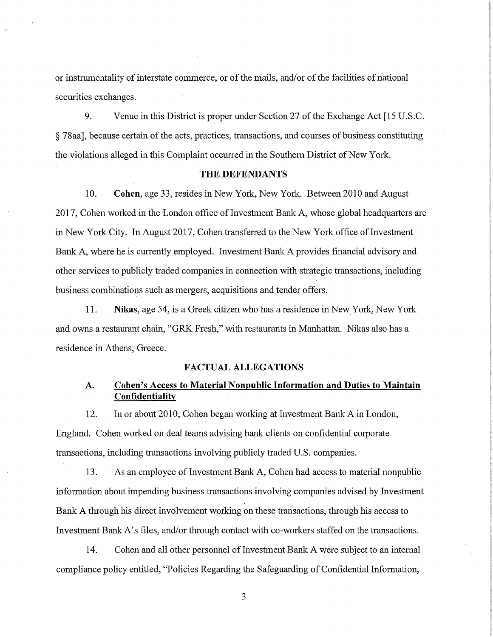or instrumentality of interstate commerce, or of the mails, and/or of the facilities of national securities exchanges.

9. Venue in this District is proper under Section 27 of the Exchange Act [15 U.S.C. § 78aa], because certain of the acts, practices, transactions, and courses of business constituting the violations alleged in this Complaint occurred in the Southern District of New York.

## **THE DEFENDANTS**

10. **Cohen,** age 33, resides in New York, New York. Between 2010 and August 2017, Cohen worked in the London office of Investment Bank A, whose global headquarters are in New York City. In August 2017, Cohen transferred to the New York office of Investment Bank A, where he is currently employed. Investment Bank A provides financial advisory and other services to publicly traded companies in connection with strategic transactions, including business combinations such as mergers, acquisitions and tender offers.

11. **Nikas,** age 54, is a Greek citizen who has a residence in New York, New York and owns a restaurant chain, "GRK Fresh," with restaurants in Manhattan. Nikas also has a residence in Athens, Greece.

### **FACTUAL ALLEGATIONS**

# **A. Cohen's Access to Material Nonpublic Information and Duties to Maintain Confidentiality**

12. In or about 2010, Cohen began working at Investment Bank A in London, England. Cohen worked on deal teams advising bank clients on confidential corporate transactions, including transactions involving publicly traded U.S. companies.

13. As an employee of Investment Bank A, Cohen had access to material nonpublic information about impending business transactions involving companies advised by Investment Bank A through his direct involvement working on these transactions, through his access to Investment Bank A's files, and/or through contact with co-workers staffed on the transactions.

14. Cohen and all other personnel of Investment Bank A were subject to an internal compliance policy entitled, "Policies Regarding the Safeguarding of Confidential Information,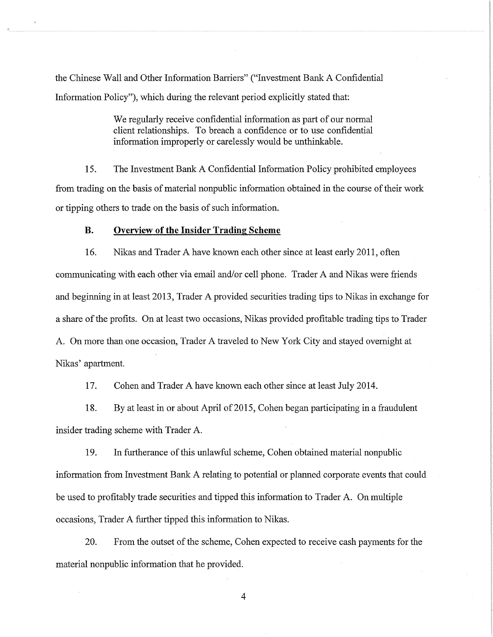the Chinese Wall and Other Information Barriers" ("Investment Bank A Confidential Information Policy"), which during the relevant period explicitly stated that:

> We regularly receive confidential information as part of our normal client relationships. To breach a confidence or to use confidential information improperly or carelessly would be unthinkable.

15. The Investment Bank A Confidential Information Policy prohibited employees from trading on the basis of material nonpublic information obtained in the course of their work or tipping others to trade on the basis of such information.

### **B. Overview of the Insider Trading Scheme**

16. Nikas and Trader A have known each other since at least early 2011, often communicating with each other via email and/or cell phone. Trader A and Nikas were friends and beginning in at least 2013, Trader A provided securities trading tips to Nikas in exchange for a share of the profits. On at least two occasions, Nikas provided profitable trading tips to Trader A. On more than one occasion, Trader A traveled to New York City and stayed overnight at Nikas' apartment.

17. Cohen and Trader A have known each other since at least July 2014.

18. By at least in or about April of 2015, Cohen began participating in a fraudulent insider trading scheme with Trader A.

19. In furtherance of this unlawful scheme, Cohen obtained material nonpublic information from Investment Bank A relating to potential or planned corporate events that could be used to profitably trade securities and tipped this information to Trader A. On multiple occasions, Trader A further tipped this information to Nikas.

20. From the outset of the scheme, Cohen expected to receive cash payments for the material nonpublic information that he provided.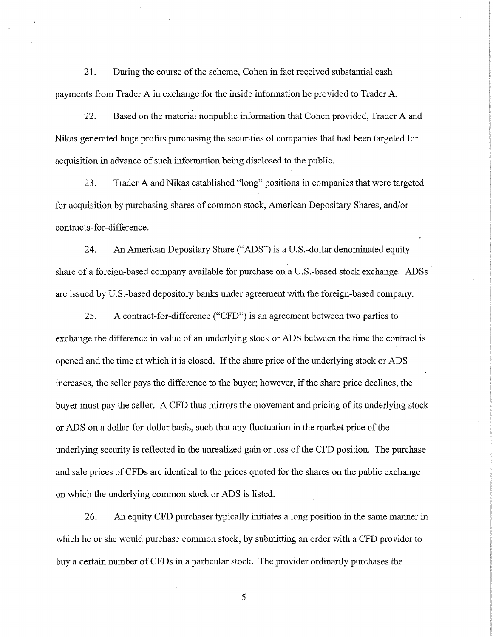21. During the course of the scheme, Cohen in fact received substantial cash payments from Trader A in exchange for the inside information he provided to Trader A.

22. Based on the material nonpublic information that Cohen provided, Trader A and Nikas generated huge profits purchasing the securities of companies that had been targeted for acquisition in advance of such information being disclosed to the public.

23. Trader A and Nikas established "long" positions in companies that were targeted for acquisition by purchasing shares of common stock, American Depositary Shares, and/or contracts-for-difference.

24. An American Depositary Share ("ADS") is a U.S.-dollar denominated equity share of a foreign-based company available for purchase on a U.S.-based stock exchange. ADSs are issued by U.S.-based depository banks under agreement with the foreign-based company.

25. A contract-for-difference ("CFD") is an agreement between two parties to exchange the difference in value of an underlying stock or ADS between the time the contract is opened and the time at which it is closed. If the share price of the underlying stock or ADS increases, the seller pays the difference to the buyer; however, if the share price declines, the buyer must pay the seller. A CFD thus mirrors the movement and pricing of its underlying stock or ADS on a dollar-for-dollar basis, such that any fluctuation in the market price of the underlying security is reflected in the unrealized gain or loss of the CFD position. The purchase and sale prices of CFDs are identical to the prices quoted for the shares on the public exchange on which the underlying common stock or ADS is listed.

26. An equity CFD purchaser typically initiates a long position in the same manner in which he or she would purchase common stock, by submitting an order with a CFD provider to buy a certain number of CFDs in a particular stock. The provider ordinarily purchases the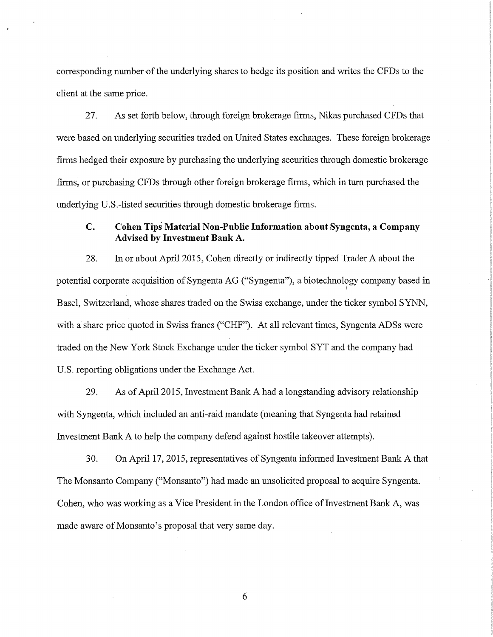corresponding number of the underlying shares to hedge its position and writes the CFDs to the client at the same price.

27. As set forth below, through foreign brokerage firms, Nikas purchased CFDs that were based on underlying securities traded on United States exchanges. These foreign brokerage firms hedged their exposure by purchasing the underlying securities through domestic brokerage firms, or purchasing CFDs through other foreign brokerage firms, which in turn purchased the underlying U.S.-listed securities through domestic brokerage firms.

# **C. Cohen Tips Material Non-Public Information about Syngenta, a Company Advised by Investment Bank A.**

28. In or about April 2015, Cohen directly or indirectly tipped Trader A about the potential corporate acquisition of Syngenta AG ("Syngenta"), a biotechnology company based in I Basel, Switzerland, whose shares traded on the Swiss exchange, under the ticker symbol SYNN, with a share price quoted in Swiss francs ("CHF"). At all relevant times, Syngenta ADSs were traded on the New York Stock Exchange under the ticker symbol SYT and the company had U.S. reporting obligations under the Exchange Act.

29. As of April 2015, Investment Bank A had a longstanding advisory relationship with Syngenta, which included an anti-raid mandate (meaning that Syngenta had retained Investment Bank A to help the company defend against hostile takeover attempts).

30. On April 17, 2015, representatives of Syngenta informed Investment Bank A that The Monsanto Company ("Monsanto") had made an unsolicited proposal to acquire Syngenta. Cohen, who was working as a Vice President in the London office of Investment Bank A, was made aware of Monsanto's proposal that very same day.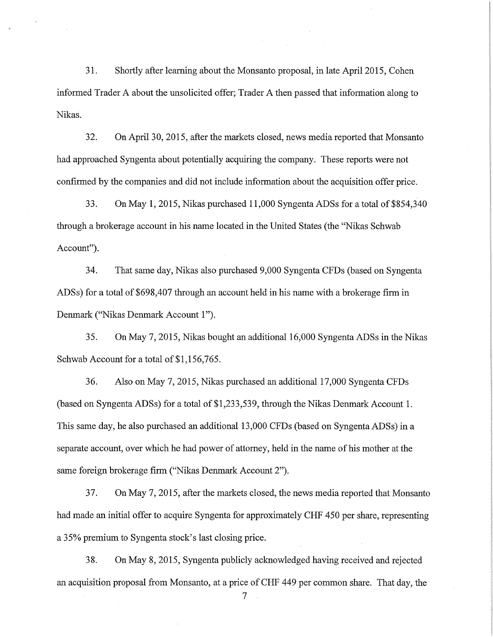31. Shortly after learning about the Monsanto proposal, in late April 2015, Cohen informed Trader A about the unsolicited offer; Trader A then passed that information along to Nikas.

32. On April 30, 2015, after the markets closed, news media reported that Monsanto had approached Syngenta about potentially acquiring the company. These reports were not confirmed by the companies and did not include information about the acquisition offer price.

33. On May 1, 2015, Nikas purchased 11,000 Syngenta ADSs for a total of \$854,340 through a brokerage account in his name located in the United States (the "Nikas Schwab Account").

34. That same day, Nikas also purchased 9,000 Syngenta CFDs (based on Syngenta ADSs) for a total of \$698,407 through an account held in his name with a brokerage firm in Denmark ("Nikas Denmark Account 1").

35. On May 7, 2015, Nikas bought an additional 16,000 Syngenta ADSs in the Nikas Schwab Account for a total of \$1,156,765.

36. Also on May 7, 2015, Nikas purchased an additional 17,000 Syngenta CFDs (based on Syngenta ADSs) for a total of \$1,233,539, through the Nikas Denmark Account 1. This same day, he also purchased an additional 13,000 CFDs (based on Syngenta ADSs) in a separate account, over which he had power of attorney, held in the name of his mother at the same foreign brokerage firm ("Nikas Denmark Account 2").

37. On May 7, 2015, after the markets closed, the news media reported that Monsanto had made an initial offer to acquire Syngenta for approximately CHF 450 per share, representing a 35% premium to Syngenta stock's last closing price.

38. On May 8, 2015, Syngenta publicly acknowledged having received and rejected an acquisition proposal from Monsanto, at a price of CHF 449 per common share. That day, the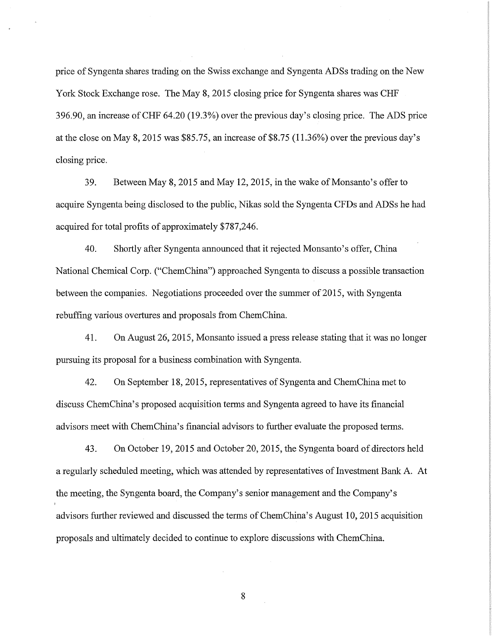price of Syngenta shares trading on the Swiss exchange and Syngenta ADSs trading on the New York Stock Exchange rose. The May 8, 2015 closing price for Syngenta shares was CHF 396.90, an increase of CHF 64.20 (19.3%) over the previous day's closing price. The ADS price at the close on May 8, 2015 was \$85.75, an increase of \$8.75 (11.36%) over the previous day's closing price.

39. Between May 8, 2015 and May 12, 2015, in the wake of Monsanto's offer to acquire Syngenta being disclosed to the public, Nikas sold the Syngenta CFDs and ADSs he had acquired for total profits of approximately \$787,246.

40. Shortly after Syngenta announced that it rejected Monsanto's offer, China National Chemical Corp. ("ChemChina") approached Syngenta to discuss a possible transaction between the companies. Negotiations proceeded over the summer of 2015, with Syngenta rebuffing various overtures and proposals from Chem China.

41. On August 26, 2015, Monsanto issued a press release stating that it was no longer pursuing its proposal for a business combination with Syngenta.

42. On September 18, 2015, representatives of Syngenta and Chem China met to discuss Chem China's proposed acquisition terms and Syngenta agreed to have its financial advisors meet with ChemChina's financial advisors to further evaluate the proposed terms.

43. On October 19, 2015 and October 20, 2015, the Syngenta board of directors held a regularly scheduled meeting, which was attended by representatives of Investment Bank A. At the meeting, the Syngenta board, the Company's senior management and the Company's advisors further reviewed and discussed the terms of ChemChina's August 10, 2015 acquisition proposals and ultimately decided to continue to explore discussions with ChemChina.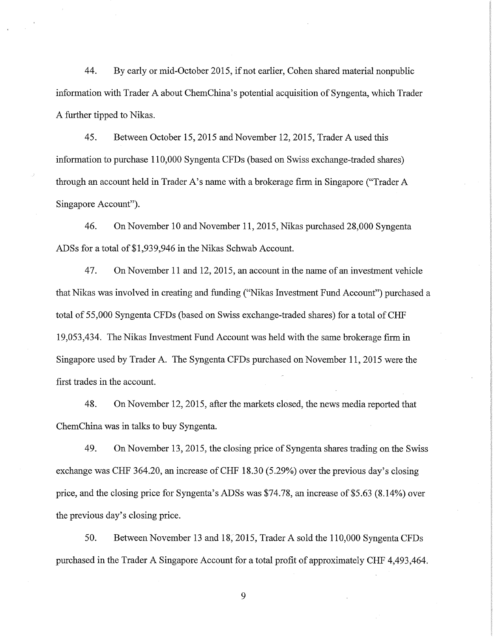44. By early or mid-October 2015, if not earlier, Cohen shared material nonpublic information with Trader A about Chem China's potential acquisition of Syngenta, which Trader A further tipped to Nikas.

45. Between October 15, 2015 and November 12, 2015, Trader A used this information to purchase 110,000 Syngenta CFDs (based on Swiss exchange-traded shares) through an account held in Trader A's name with a brokerage firm in Singapore ("Trader A Singapore Account").

46. On November 10 and November 11, 2015, Nikas purchased 28,000 Syngenta ADSs for a total of \$1,939,946 in the Nikas Schwab Account.

47. On November 11 and 12, 2015, an account in the name of an investment vehicle that Nikas was involved in creating and funding ("Nikas Investment Fund Account") purchased a total of 55,000 Syngenta CFDs (based on Swiss exchange-traded shares) for a total of CHF 19,053,434. The Nikas Investment Fund Account was held with the same brokerage firm in Singapore used by Trader A. The Syngenta CFDs purchased on November 11, 2015 were the first trades in the account.

48. On November 12, 2015, after the markets closed, the news media reported that ChemChina was in talks to buy Syngenta.

49. On November 13, 2015, the closing price of Syngenta shares trading on the Swiss exchange was CHF 364.20, an increase of CHF 18.30 (5.29%) over the previous day's closing price, and the closing price for Syngenta's ADSs was \$74.78, an increase of \$5.63 (8.14%) over the previous day's closing price.

50. Between November 13 and 18, 2015, Trader A sold the 110,000 Syngenta CFDs purchased in the Trader A Singapore Account for a total profit of approximately CHF 4,493,464.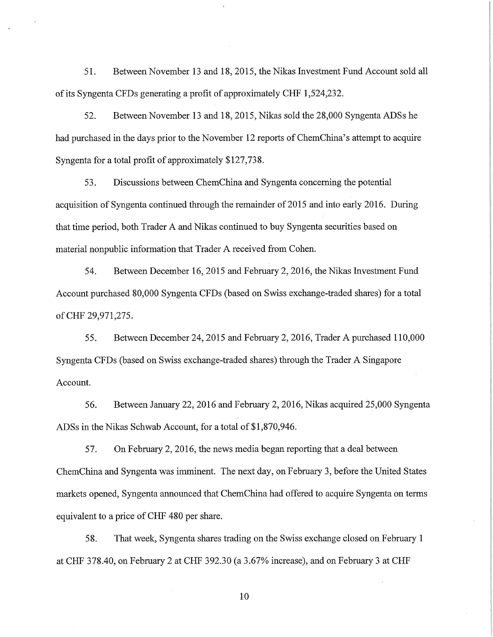51. Between November 13 and 18, 2015, the Nikas Investment Fund Account sold all of its Syngenta CFDs generating a profit of approximately CHF 1,524,232.

52. Between November 13 and 18, 2015, Nikas sold the 28,000 Syngenta ADSs he had purchased in the days prior to the November 12 reports of ChemChina's attempt to acquire Syngenta for a total profit of approximately \$127,738.

53. Discussions between Chem China and Syngenta concerning the potential acquisition of Syngenta continued through the remainder of 2015 and into early 2016. During that time period, both Trader A and Nikas continued to buy Syngenta securities based on material nonpublic information that Trader A received from Cohen.

54. Between December 16, 2015 and February 2, 2016, the Nikas Investment Fund Account purchased 80,000 Syngenta CFDs (based on Swiss exchange-traded shares) for a total of CHF 29,971,275.

55. Between December 24, 2015 and February 2, 2016, Trader A purchased 110,000 Syngenta CFDs (based on Swiss exchange-traded shares) through the Trader A Singapore Account.

56. Between January 22, 2016 and February 2, 2016, Nikas acquired 25,000 Syngenta ADSs in the Nikas Schwab Account, for a total of \$1,870,946.

57. On February 2, 2016, the news media began reporting that a deal between ChemChina and Syngenta was imminent. The next day, on February 3, before the United States markets opened, Syngenta announced that ChemChina had offered to acquire Syngenta on terms equivalent to a price of CHF 480 per share.

58. That week, Syngenta shares trading on the Swiss exchange closed on February 1 at CHF 378.40, on February 2 at CHF 392.30 (a 3.67% increase), and on February 3 at CHF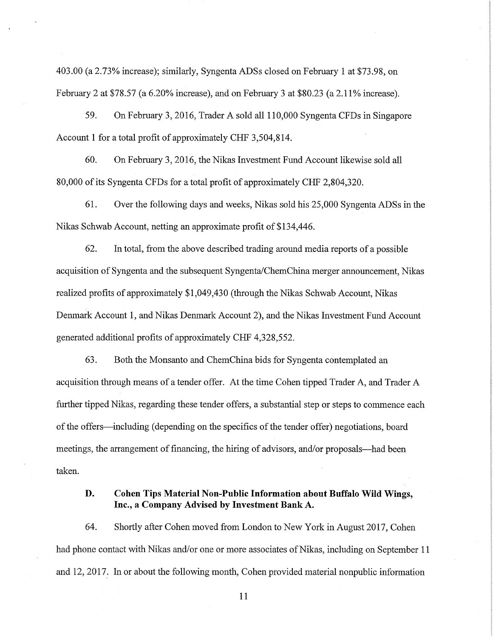403.00 (a 2.73% increase); similarly, Syngenta ADSs closed on February 1 at \$73.98, on February 2 at \$78.57 (a 6.20% increase), and on February 3 at \$80.23 (a 2.11 % increase).

59. On February 3, 2016, Trader A sold all 110,000 Syngenta CFDs in Singapore Account 1 for a total profit of approximately CHF 3,504,814.

60. On February 3, 2016, the Nikas Investment Fund Account likewise sold all 80,000 of its Syngenta CFDs for a total profit of approximately CHF 2,804,320.

61. Over the following days and weeks, Nikas sold his 25,000 Syngenta ADSs in the Nikas Schwab Account, netting an approximate profit of \$134,446.

62. In total, from the above described trading around media reports of a possible acquisition of Syngenta and the subsequent Syngenta/ChemChina merger announcement, Nikas realized profits of approximately \$1,049,430 (through the Nikas Schwab Account, Nikas Denmark Account 1, and Nikas Denmark Account 2), and the Nikas Investment Fund Account generated additional profits of approximately CHF 4,328,552.

63. Both the Monsanto and ChemChina bids for Syngenta contemplated an acquisition through means of a tender offer. At the time Cohen tipped Trader A, and Trader A further tipped Nikas, regarding these tender offers, a substantial step or steps to commence each of the offers—including (depending on the specifics of the tender offer) negotiations, board meetings, the arrangement of financing, the hiring of advisors, and/or proposals—had been taken.

# **D. Cohen Tips Material Non-Public Information about Buffalo Wild Wings, Inc., a Company Advised by Investment Bank A.**

64. Shortly after Cohen moved from London to New York in August 2017, Cohen had phone contact with Nikas and/or one or more associates of Nikas, including on September 11 and 12, 2017. In or about the following month, Cohen provided material nonpublic information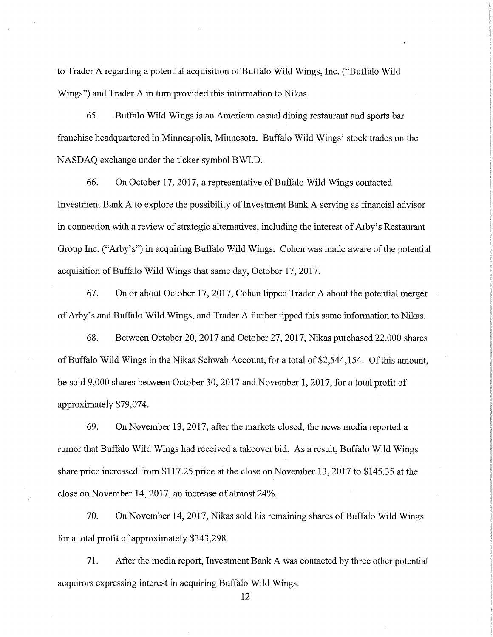to Trader A regarding a potential acquisition of Buffalo Wild Wings, Inc. ("Buffalo Wild Wings") and Trader A in turn provided this information to Nikas.

65. Buffalo Wild Wings is an American casual dining restaurant and sports bar franchise headquartered in Minneapolis, Minnesota. Buffalo Wild Wings' stock trades on the NASDAQ exchange under the ticker symbol BWLD.

66. On October 17, 2017, a representative of Buffalo Wild Wings contacted Investment Bank A to explore the possibility of Investment Bank A serving as financial advisor in connection with a review of strategic alternatives, including the interest of Arby's Restaurant Group Inc. ("Arby's") in acquiring Buffalo Wild Wings. Cohen was made aware of the potential acquisition of Buffalo Wild Wings that same day, October 17, 2017.

67. On or about October 17, 2017, Cohen tipped Trader A about the potential merger of Arby's and Buffalo Wild Wings, and Trader A further tipped this same information to Nikas.

68. Between October 20, 2017 and October 27, 2017, Nikas purchased 22,000 shares of Buffalo Wild Wings in the Nikas Schwab Account, for a total of \$2,544,154. Of this amount, he sold 9,000 shares between October 30, 2017 and November 1, 2017, for a total profit of approximately \$79,074.

69. On November 13, 2017, after the markets closed, the news media reported a rumor that Buffalo Wild Wings had received a takeover bid. As a result, Buffalo Wild Wings share price increased from \$117.25 price at the close on November 13, 2017 to \$145.35 at the close on November 14, 2017, an increase of almost 24%.

70. On November 14, 2017, Nikas sold his remaining shares of Buffalo Wild Wings for a total profit of approximately \$343,298.

71. After the media report, Investment Bank A was contacted by three other potential acquirors expressing interest in acquiring Buffalo Wild Wings.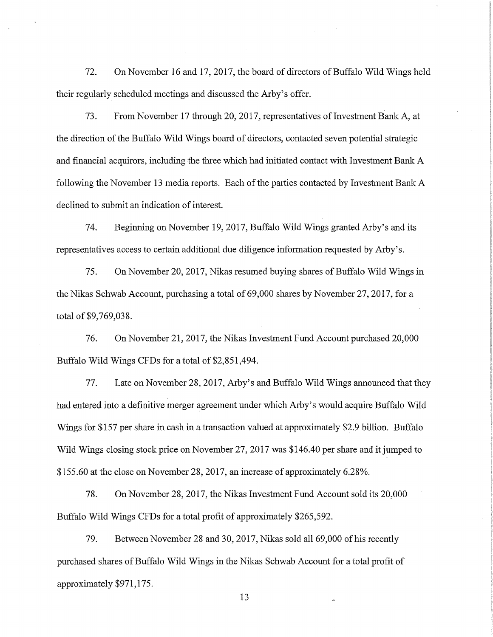72. On November 16 and 17, 2017, the board of directors of Buffalo Wild Wings held their regularly scheduled meetings and discussed the Arby's offer.

73. From November 17 through 20, 2017, representatives of Investment Bank A, at the direction of the Buffalo Wild Wings board of directors, contacted seven potential strategic and financial acquirors, including the three which had initiated contact with Investment Bank A following the November 13 media reports. Each of the parties contacted by Investment Bank A declined to submit an indication of interest.

74. Beginning on November 19, 2017, Buffalo Wild Wings granted Arby's and its representatives access to certain additional due diligence information requested by Arby's.

75. On November 20, 2017, Nikas resumed buying shares of Buffalo Wild Wings in the Nikas Schwab Account, purchasing a total of 69,000 shares by November 27, 2017, for a total of \$9,769,038.

76. On November 21, 2017, the Nikas Investment Fund Account purchased 20,000 Buffalo Wild Wings CFDs for a total of \$2,851,494.

77. Late on November 28, 2017, Arby's and Buffalo Wild Wings announced that they had entered into a definitive merger agreement under which Arby's would acquire Buffalo Wild Wings for \$157 per share in cash in a transaction valued at approximately \$2.9 billion. Buffalo Wild Wings closing stock price on November 27, 2017 was \$146.40 per share and it jumped to \$155.60 at the close on November 28, 2017, an increase of approximately 6.28%.

78. On November 28, 2017, the Nikas Investment Fund Account sold its 20,000 Buffalo Wild Wings CFDs for a total profit of approximately \$265,592.

79. Between November 28 and 30, 2017, Nikas sold all 69,000 of his recently purchased shares of Buffalo Wild Wings in the Nikas Schwab Account for a total profit of approximately \$971,175.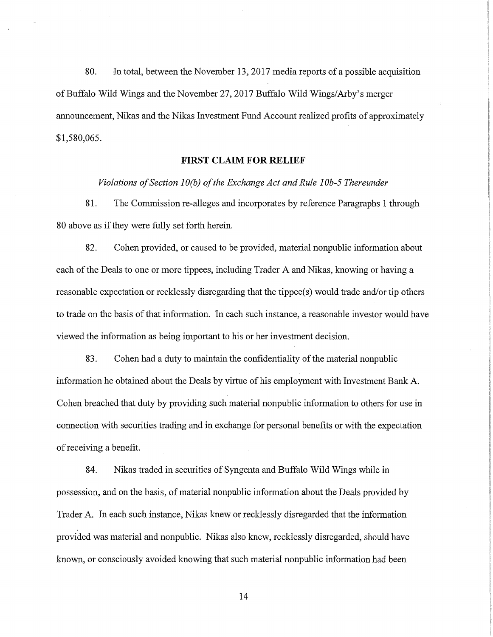80. In total, between the November 13, 2017 media reports of a possible acquisition of Buffalo Wild Wings and the November 27, 2017 Buffalo Wild Wings/Arby's merger announcement, Nikas and the Nikas Investment Fund Account realized profits of approximately \$1,580,065.

## **FIRST CLAIM FOR RELIEF**

*Violations of Section JO(b) of the Exchange Act and Rule JOb-5 Thereunder* 

81. The Commission re-alleges and incorporates by reference Paragraphs 1 through 80 above as if they were fully set forth herein.

82. Cohen provided, or caused to be provided, material nonpublic information about each of the Deals to one or more tippees, including Trader A and Nikas, knowing or having a reasonable expectation or recklessly disregarding that the tippee(s) would trade and/or tip others to trade on the basis of that information. In each such instance, a reasonable investor would have viewed the information as being important to his or her investment decision.

83. Cohen had a duty to maintain the confidentiality of the material nonpublic information he obtained about the Deals by virtue of his employment with Investment Bank A. Cohen breached that duty by providing such material nonpublic information to others for use in connection with securities trading and in exchange for personal benefits or with the expectation of receiving a benefit.

84. Nikas traded in securities of Syngenta and Buffalo Wild Wings while in possession, and on the basis, of material nonpublic information about the Deals provided by Trader A. In each such instance, Nikas knew or recklessly disregarded that the information provided was material and nonpublic. Nikas also knew, recklessly disregarded, should have known, or consciously avoided knowing that such material nonpublic information had been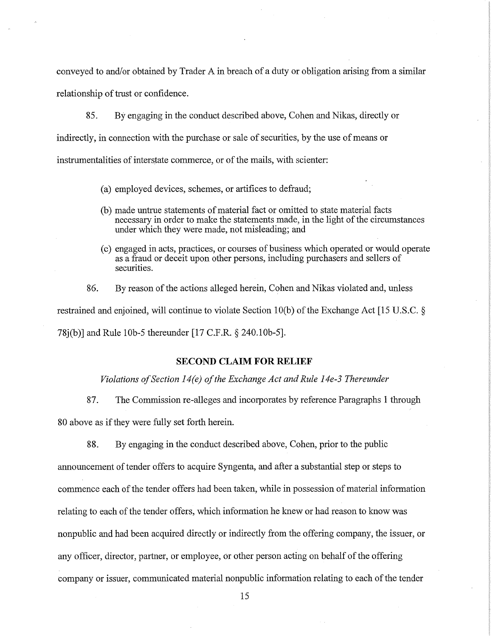conveyed to and/or obtained by Trader A in breach of a duty or obligation arising from a similar relationship of trust or confidence.

85. By engaging in the conduct described above, Cohen and Nikas, directly or indirectly, in connection with the purchase or sale of securities, by the use of means or instrumentalities of interstate commerce, or of the mails, with scienter:

- (a) employed devices, schemes, or artifices to defraud;
- (b) made untrue statements of material fact or omitted to state material facts necessary in order to make the statements made, in the light of the circumstances under which they were made, not misleading; and
- ( c) engaged in acts, practices, or courses of business which operated or would operate as a fraud or deceit upon other persons, including purchasers and sellers of securities.

86. By reason of the actions alleged herein, Cohen and Nikas violated and, unless restrained and enjoined, will continue to violate Section l0(b) of the Exchange Act [15 U.S.C. § 78j(b)] and Rule 10b-5 thereunder [17 C.F.R. § 240.10b-5].

### **SECOND CLAIM FOR RELIEF**

*Violations of Section 14(e) of the Exchange Act and Rule 14e-3 Thereunder* 

87. The Commission re-alleges and incorporates by reference Paragraphs 1 through

80 above as if they were fully set forth herein.

88. By engaging in the conduct described above, Cohen, prior to the public

announcement of tender offers to acquire Syngenta, and after a substantial step or steps to commence each of the tender offers had been taken, while in possession of material information relating to each of the tender offers, which information he knew or had reason to know was nonpublic and had been acquired directly or indirectly from the offering company, the issuer, or any officer, director, partner, or employee, or other person acting on behalf of the offering company or issuer, communicated material nonpublic information relating to each of the tender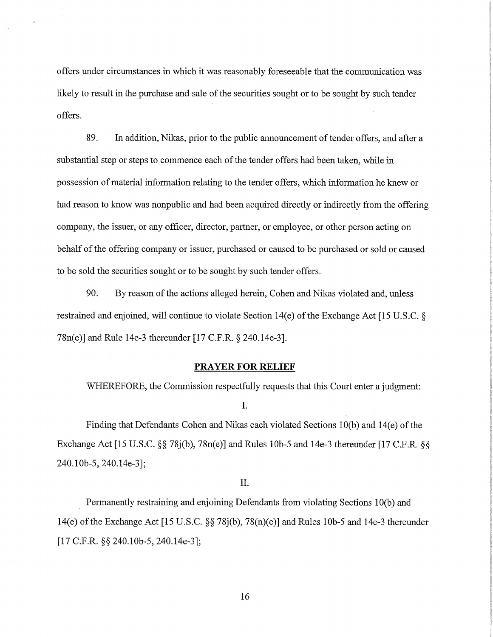offers under circumstances in which it was reasonably foreseeable that the communication was likely to result in the purchase and sale of the securities sought or to be sought by such tender offers.

89. In addition, Nikas, prior to the public announcement of tender offers, and after a substantial step or steps to commence each of the tender offers had been taken, while in possession of material information relating to the tender offers, which information he knew or had reason to know was nonpublic and had been acquired directly or indirectly from the offering company, the issuer, or any officer, director, partner, or employee, or other person acting on behalf of the offering company or issuer, purchased or caused to be purchased or sold or caused to be sold the securities sought or to be sought by such tender offers.

90. By reason of the actions alleged herein, Cohen and Nikas violated and, unless restrained and enjoined, will continue to violate Section 14(e) of the Exchange Act [15 U.S.C. § 78n(e)] and Rule 14e-3 thereunder [17 C.F.R. § 240.14e-3].

#### **PRAYER FOR RELIEF**

WHEREFORE, the Commission respectfully requests that this Court enter a judgment:

I.

Finding that Defendants Cohen and Nikas each violated Sections 10(b) and 14(e) of the Exchange Act [15 U.S.C. §§ 78j(b), 78n(e)] and Rules l0b-5 and 14e-3 thereunder [17 C.F.R. §§ 240.lOb-5, 240.14e-3];

II.

Permanently restraining and enjoining Defendants from violating Sections l0(b) and 14(e) of the Exchange Act [15 U.S.C. §§ 78j(b), 78(n)(e)] and Rules l0b-5 and 14e-3 thereunder [17 C.F.R. §§ 240.l0b-5, 240.14e-3];